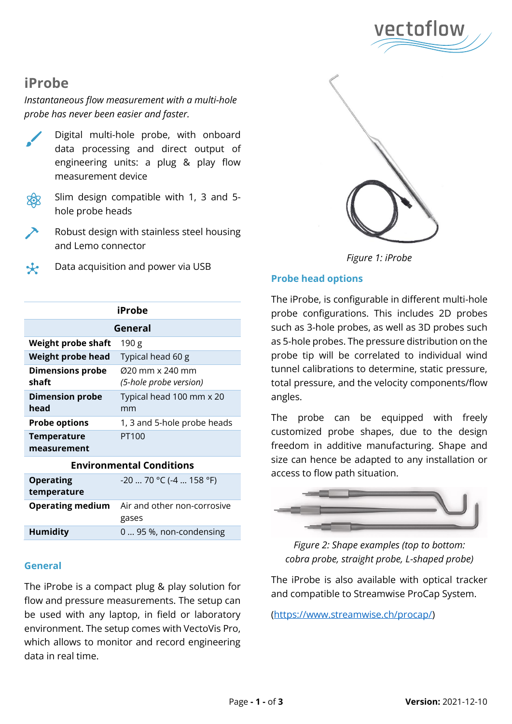

# **iProbe**

# *Instantaneous flow measurement with a multi-hole probe has never been easier and faster.*

- Digital multi-hole probe, with onboard data processing and direct output of engineering units: a plug & play flow measurement device
- Slim design compatible with 1, 3 and 5 hole probe heads
- Robust design with stainless steel housing and Lemo connector
- Data acquisition and power via USB

| iProbe                            |                                                                    |  |
|-----------------------------------|--------------------------------------------------------------------|--|
| General                           |                                                                    |  |
| Weight probe shaft                | 190 g                                                              |  |
| Weight probe head                 | Typical head 60 g                                                  |  |
| <b>Dimensions probe</b><br>shaft  | $(220 \text{ mm} \times 240 \text{ mm})$<br>(5-hole probe version) |  |
| <b>Dimension probe</b><br>head    | Typical head 100 mm x 20<br>mm                                     |  |
| <b>Probe options</b>              | 1, 3 and 5-hole probe heads                                        |  |
| <b>Temperature</b><br>measurement | PT100                                                              |  |
|                                   |                                                                    |  |

#### **Environmental Conditions**

| <b>Operating</b><br>temperature | $-20$ 70 °C ( $-4$ 158 °F)                          |
|---------------------------------|-----------------------------------------------------|
|                                 | <b>Operating medium</b> Air and other non-corrosive |
|                                 | gases                                               |
| <b>Humidity</b>                 | 0  95 %, non-condensing                             |
|                                 |                                                     |

## **General**

The iProbe is a compact plug & play solution for flow and pressure measurements. The setup can be used with any laptop, in field or laboratory environment. The setup comes with VectoVis Pro, which allows to monitor and record engineering data in real time.



*Figure 1: iProbe*

## **Probe head options**

The iProbe, is configurable in different multi-hole probe configurations. This includes 2D probes such as 3-hole probes, as well as 3D probes such as 5-hole probes. The pressure distribution on the probe tip will be correlated to individual wind tunnel calibrations to determine, static pressure, total pressure, and the velocity components/flow angles.

The probe can be equipped with freely customized probe shapes, due to the design freedom in additive manufacturing. Shape and size can hence be adapted to any installation or access to flow path situation.



*Figure 2: Shape examples (top to bottom: cobra probe, straight probe, L-shaped probe)*

The iProbe is also available with optical tracker and compatible to Streamwise ProCap System.

[\(https://www.streamwise.ch/procap/\)](https://www.streamwise.ch/procap/)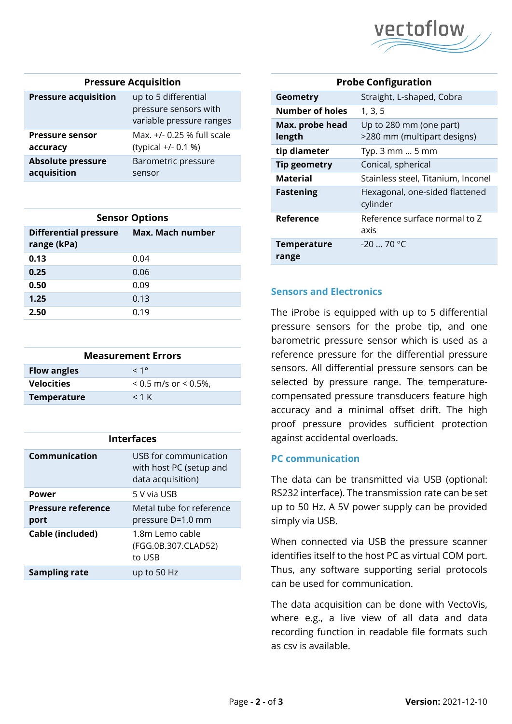

#### **Pressure Acquisition**

| <b>Pressure acquisition</b> | up to 5 differential<br>pressure sensors with<br>variable pressure ranges |
|-----------------------------|---------------------------------------------------------------------------|
| <b>Pressure sensor</b>      | Max. +/- 0.25 % full scale                                                |
| accuracy                    | (typical +/- 0.1 %)                                                       |
| <b>Absolute pressure</b>    | Barometric pressure                                                       |
| acquisition                 | sensor                                                                    |

| <b>Sensor Options</b>                       |                  |  |  |
|---------------------------------------------|------------------|--|--|
| <b>Differential pressure</b><br>range (kPa) | Max. Mach number |  |  |
| 0.13                                        | 0.04             |  |  |
| 0.25                                        | 0.06             |  |  |
| 0.50                                        | 0.09             |  |  |
| 1.25                                        | 0.13             |  |  |
| 2.50                                        | 0.19             |  |  |

| <b>Measurement Errors</b> |                            |  |
|---------------------------|----------------------------|--|
| <b>Flow angles</b>        | $< 1^{\circ}$              |  |
| <b>Velocities</b>         | $< 0.5$ m/s or $< 0.5\%$ , |  |
| <b>Temperature</b>        | $<$ 1 K                    |  |

| <b>Interfaces</b>                 |                                                                       |  |
|-----------------------------------|-----------------------------------------------------------------------|--|
| Communication                     | USB for communication<br>with host PC (setup and<br>data acquisition) |  |
| Power                             | 5 V via USB                                                           |  |
| <b>Pressure reference</b><br>port | Metal tube for reference<br>pressure D=1.0 mm                         |  |
| Cable (included)                  | 1.8m Lemo cable<br>(FGG.0B.307.CLAD52)<br>to USB                      |  |
| <b>Sampling rate</b>              | up to 50 Hz                                                           |  |

| <b>Probe Configuration</b>  |                                                        |
|-----------------------------|--------------------------------------------------------|
| <b>Geometry</b>             | Straight, L-shaped, Cobra                              |
| Number of holes             | 1, 3, 5                                                |
| Max. probe head<br>length   | Up to 280 mm (one part)<br>>280 mm (multipart designs) |
| tip diameter                | Typ. $3 \text{ mm} \dots 5 \text{ mm}$                 |
| Tip geometry                | Conical, spherical                                     |
| <b>Material</b>             | Stainless steel, Titanium, Inconel                     |
| <b>Fastening</b>            | Hexagonal, one-sided flattened<br>cylinder             |
| Reference                   | Reference surface normal to Z<br>axis                  |
| <b>Temperature</b><br>range | $-20 - 70$ °C                                          |

## **Sensors and Electronics**

The iProbe is equipped with up to 5 differential pressure sensors for the probe tip, and one barometric pressure sensor which is used as a reference pressure for the differential pressure sensors. All differential pressure sensors can be selected by pressure range. The temperaturecompensated pressure transducers feature high accuracy and a minimal offset drift. The high proof pressure provides sufficient protection against accidental overloads.

### **PC communication**

The data can be transmitted via USB (optional: RS232 interface). The transmission rate can be set up to 50 Hz. A 5V power supply can be provided simply via USB.

When connected via USB the pressure scanner identifies itself to the host PC as virtual COM port. Thus, any software supporting serial protocols can be used for communication.

The data acquisition can be done with VectoVis, where e.g., a live view of all data and data recording function in readable file formats such as csv is available.